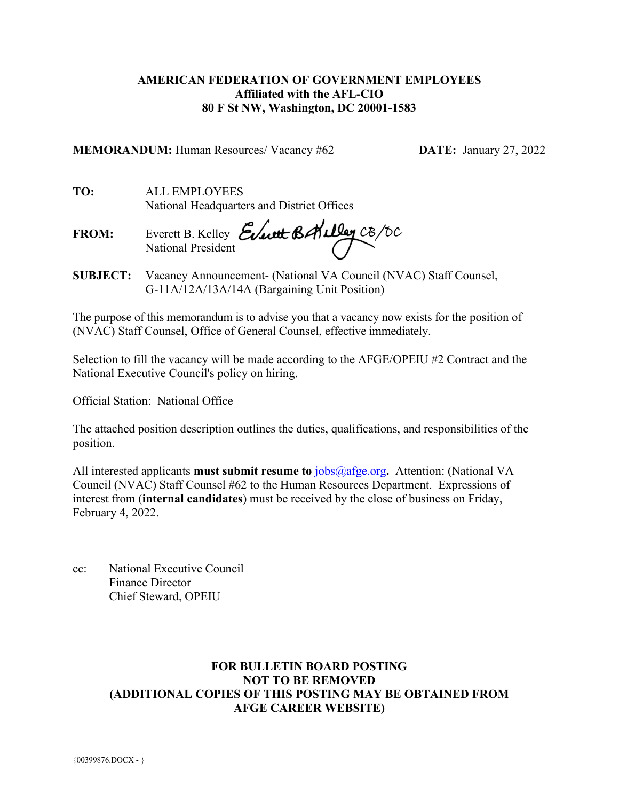# **AMERICAN FEDERATION OF GOVERNMENT EMPLOYEES Affiliated with the AFL-CIO 80 F St NW, Washington, DC 20001-1583**

**MEMORANDUM:** Human Resources/ Vacancy #62 **DATE:** January 27, 2022

**TO:** ALL EMPLOYEES National Headquarters and District Offices

**FROM:** Everett B. Kelley National President

**SUBJECT:** Vacancy Announcement- (National VA Council (NVAC) Staff Counsel, G-11A/12A/13A/14A (Bargaining Unit Position)

The purpose of this memorandum is to advise you that a vacancy now exists for the position of (NVAC) Staff Counsel, Office of General Counsel, effective immediately.

Selection to fill the vacancy will be made according to the AFGE/OPEIU #2 Contract and the National Executive Council's policy on hiring.

Official Station: National Office

The attached position description outlines the duties, qualifications, and responsibilities of the position.

All interested applicants **must submit resume to** [jobs@afge.org](mailto:jobs@afge.org)**.** Attention: (National VA Council (NVAC) Staff Counsel #62 to the Human Resources Department. Expressions of interest from (**internal candidates**) must be received by the close of business on Friday, February 4, 2022.

cc: National Executive Council Finance Director Chief Steward, OPEIU

# **FOR BULLETIN BOARD POSTING NOT TO BE REMOVED (ADDITIONAL COPIES OF THIS POSTING MAY BE OBTAINED FROM AFGE CAREER WEBSITE)**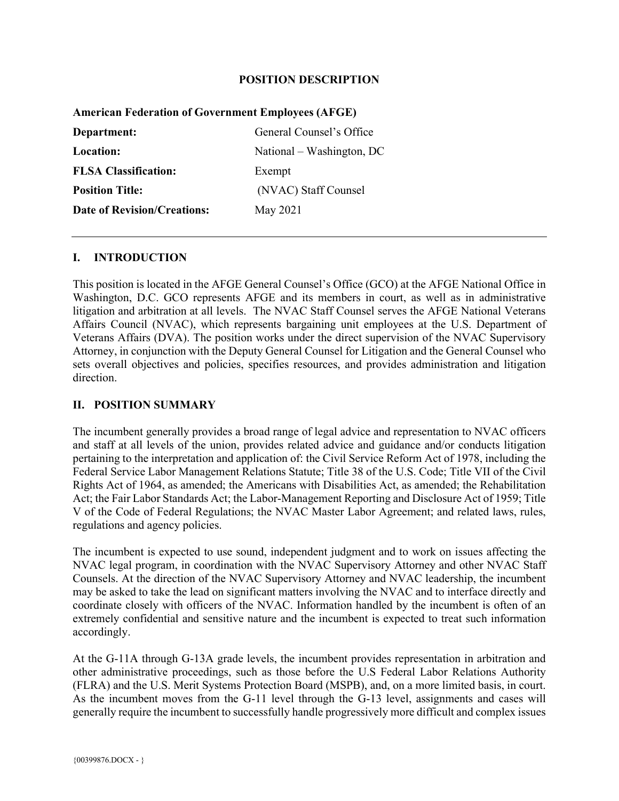#### **POSITION DESCRIPTION**

| <b>American Federation of Government Employees (AFGE)</b> |                           |
|-----------------------------------------------------------|---------------------------|
| Department:                                               | General Counsel's Office  |
| Location:                                                 | National – Washington, DC |
| <b>FLSA Classification:</b>                               | Exempt                    |
| <b>Position Title:</b>                                    | (NVAC) Staff Counsel      |
| <b>Date of Revision/Creations:</b>                        | May 2021                  |
|                                                           |                           |

## **American Federation of Government Employees (AFGE)**

#### **I. INTRODUCTION**

This position is located in the AFGE General Counsel's Office (GCO) at the AFGE National Office in Washington, D.C. GCO represents AFGE and its members in court, as well as in administrative litigation and arbitration at all levels. The NVAC Staff Counsel serves the AFGE National Veterans Affairs Council (NVAC), which represents bargaining unit employees at the U.S. Department of Veterans Affairs (DVA). The position works under the direct supervision of the NVAC Supervisory Attorney, in conjunction with the Deputy General Counsel for Litigation and the General Counsel who sets overall objectives and policies, specifies resources, and provides administration and litigation direction.

#### **II. POSITION SUMMARY**

The incumbent generally provides a broad range of legal advice and representation to NVAC officers and staff at all levels of the union, provides related advice and guidance and/or conducts litigation pertaining to the interpretation and application of: the Civil Service Reform Act of 1978, including the Federal Service Labor Management Relations Statute; Title 38 of the U.S. Code; Title VII of the Civil Rights Act of 1964, as amended; the Americans with Disabilities Act, as amended; the Rehabilitation Act; the Fair Labor Standards Act; the Labor-Management Reporting and Disclosure Act of 1959; Title V of the Code of Federal Regulations; the NVAC Master Labor Agreement; and related laws, rules, regulations and agency policies.

The incumbent is expected to use sound, independent judgment and to work on issues affecting the NVAC legal program, in coordination with the NVAC Supervisory Attorney and other NVAC Staff Counsels. At the direction of the NVAC Supervisory Attorney and NVAC leadership, the incumbent may be asked to take the lead on significant matters involving the NVAC and to interface directly and coordinate closely with officers of the NVAC. Information handled by the incumbent is often of an extremely confidential and sensitive nature and the incumbent is expected to treat such information accordingly.

At the G-11A through G-13A grade levels, the incumbent provides representation in arbitration and other administrative proceedings, such as those before the U.S Federal Labor Relations Authority (FLRA) and the U.S. Merit Systems Protection Board (MSPB), and, on a more limited basis, in court. As the incumbent moves from the G-11 level through the G-13 level, assignments and cases will generally require the incumbent to successfully handle progressively more difficult and complex issues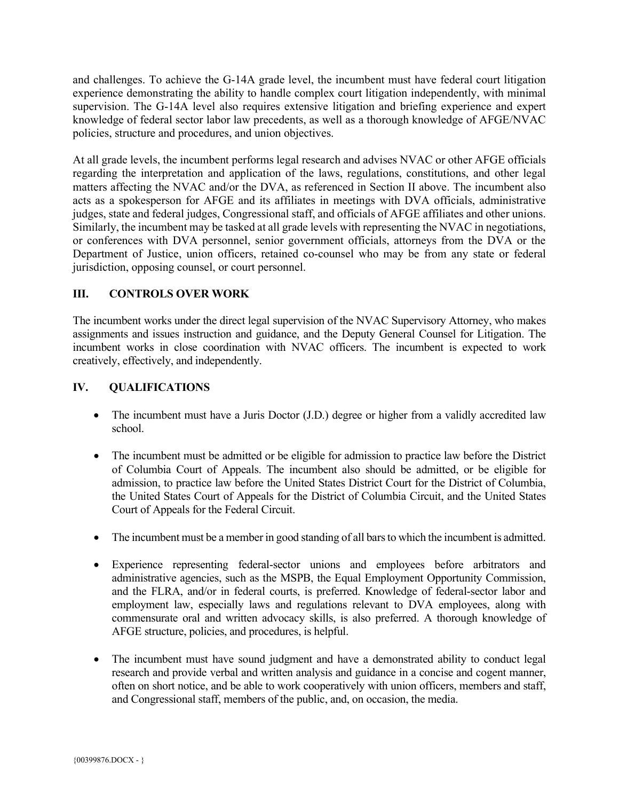and challenges. To achieve the G-14A grade level, the incumbent must have federal court litigation experience demonstrating the ability to handle complex court litigation independently, with minimal supervision. The G-14A level also requires extensive litigation and briefing experience and expert knowledge of federal sector labor law precedents, as well as a thorough knowledge of AFGE/NVAC policies, structure and procedures, and union objectives.

At all grade levels, the incumbent performs legal research and advises NVAC or other AFGE officials regarding the interpretation and application of the laws, regulations, constitutions, and other legal matters affecting the NVAC and/or the DVA, as referenced in Section II above. The incumbent also acts as a spokesperson for AFGE and its affiliates in meetings with DVA officials, administrative judges, state and federal judges, Congressional staff, and officials of AFGE affiliates and other unions. Similarly, the incumbent may be tasked at all grade levels with representing the NVAC in negotiations, or conferences with DVA personnel, senior government officials, attorneys from the DVA or the Department of Justice, union officers, retained co-counsel who may be from any state or federal jurisdiction, opposing counsel, or court personnel.

# **III. CONTROLS OVER WORK**

The incumbent works under the direct legal supervision of the NVAC Supervisory Attorney, who makes assignments and issues instruction and guidance, and the Deputy General Counsel for Litigation. The incumbent works in close coordination with NVAC officers. The incumbent is expected to work creatively, effectively, and independently.

## **IV. QUALIFICATIONS**

- The incumbent must have a Juris Doctor (J.D.) degree or higher from a validly accredited law school.
- The incumbent must be admitted or be eligible for admission to practice law before the District of Columbia Court of Appeals. The incumbent also should be admitted, or be eligible for admission, to practice law before the United States District Court for the District of Columbia, the United States Court of Appeals for the District of Columbia Circuit, and the United States Court of Appeals for the Federal Circuit.
- The incumbent must be a member in good standing of all bars to which the incumbent is admitted.
- Experience representing federal-sector unions and employees before arbitrators and administrative agencies, such as the MSPB, the Equal Employment Opportunity Commission, and the FLRA, and/or in federal courts, is preferred. Knowledge of federal-sector labor and employment law, especially laws and regulations relevant to DVA employees, along with commensurate oral and written advocacy skills, is also preferred. A thorough knowledge of AFGE structure, policies, and procedures, is helpful.
- The incumbent must have sound judgment and have a demonstrated ability to conduct legal research and provide verbal and written analysis and guidance in a concise and cogent manner, often on short notice, and be able to work cooperatively with union officers, members and staff, and Congressional staff, members of the public, and, on occasion, the media.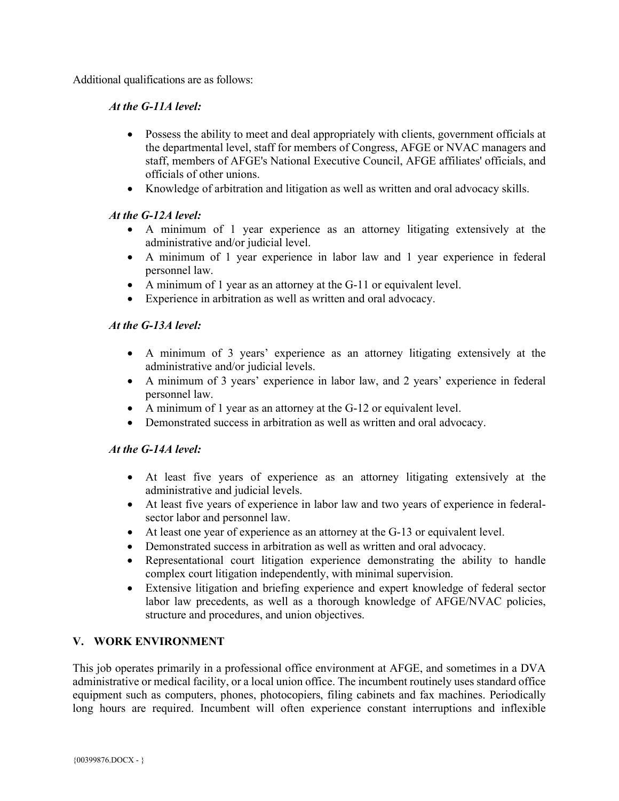Additional qualifications are as follows:

# *At the G-11A level:*

- Possess the ability to meet and deal appropriately with clients, government officials at the departmental level, staff for members of Congress, AFGE or NVAC managers and staff, members of AFGE's National Executive Council, AFGE affiliates' officials, and officials of other unions.
- Knowledge of arbitration and litigation as well as written and oral advocacy skills.

# *At the G-12A level:*

- A minimum of 1 year experience as an attorney litigating extensively at the administrative and/or judicial level.
- A minimum of 1 year experience in labor law and 1 year experience in federal personnel law.
- A minimum of 1 year as an attorney at the G-11 or equivalent level.
- Experience in arbitration as well as written and oral advocacy.

# *At the G-13A level:*

- A minimum of 3 years' experience as an attorney litigating extensively at the administrative and/or judicial levels.
- A minimum of 3 years' experience in labor law, and 2 years' experience in federal personnel law.
- A minimum of 1 year as an attorney at the G-12 or equivalent level.
- Demonstrated success in arbitration as well as written and oral advocacy.

## *At the G-14A level:*

- At least five years of experience as an attorney litigating extensively at the administrative and judicial levels.
- At least five years of experience in labor law and two years of experience in federalsector labor and personnel law.
- At least one year of experience as an attorney at the G-13 or equivalent level.
- Demonstrated success in arbitration as well as written and oral advocacy.
- Representational court litigation experience demonstrating the ability to handle complex court litigation independently, with minimal supervision.
- Extensive litigation and briefing experience and expert knowledge of federal sector labor law precedents, as well as a thorough knowledge of AFGE/NVAC policies, structure and procedures, and union objectives.

## **V. WORK ENVIRONMENT**

This job operates primarily in a professional office environment at AFGE, and sometimes in a DVA administrative or medical facility, or a local union office. The incumbent routinely uses standard office equipment such as computers, phones, photocopiers, filing cabinets and fax machines. Periodically long hours are required. Incumbent will often experience constant interruptions and inflexible